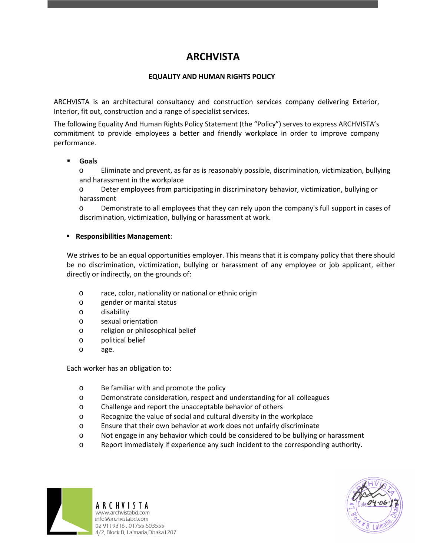# **ARCHVISTA**

## **EQUALITY AND HUMAN RIGHTS POLICY**

ARCHVISTA is an architectural consultancy and construction services company delivering Exterior, Interior, fit out, construction and a range of specialist services.

The following Equality And Human Rights Policy Statement (the "Policy") serves to express ARCHVISTA's commitment to provide employees a better and friendly workplace in order to improve company performance.

### **Goals**

o Eliminate and prevent, as far as is reasonably possible, discrimination, victimization, bullying and harassment in the workplace

o Deter employees from participating in discriminatory behavior, victimization, bullying or harassment

o Demonstrate to all employees that they can rely upon the company's full support in cases of discrimination, victimization, bullying or harassment at work.

### **Responsibilities Management**:

We strives to be an equal opportunities employer. This means that it is company policy that there should be no discrimination, victimization, bullying or harassment of any employee or job applicant, either directly or indirectly, on the grounds of:

- o race, color, nationality or national or ethnic origin
- o gender or marital status
- o disability
- o sexual orientation
- o religion or philosophical belief
- o political belief
- o age.

Each worker has an obligation to:

- o Be familiar with and promote the policy
- o Demonstrate consideration, respect and understanding for all colleagues
- o Challenge and report the unacceptable behavior of others
- o Recognize the value of social and cultural diversity in the workplace
- o Ensure that their own behavior at work does not unfairly discriminate
- o Not engage in any behavior which could be considered to be bullying or harassment
- o Report immediately if experience any such incident to the corresponding authority.



ARCHVISTA www.archvistabd.com info@archvistabd.com 02 9119316, 01755 503555 4/2, Block B, Lalmatia, Dhaka 1207